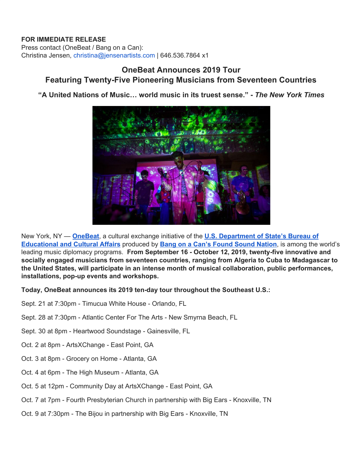# **FOR IMMEDIATE RELEASE**

Press contact (OneBeat / Bang on a Can): Christina Jensen, christina@jensenartists.com | 646.536.7864 x1

# **OneBeat Announces 2019 Tour Featuring Twenty-Five Pioneering Musicians from Seventeen Countries**

**"A United Nations of Music… world music in its truest sense." -** *The New York Times*



New York, NY — **[OneBeat](https://u7061146.ct.sendgrid.net/wf/click?upn=84Em28S1K9SvtzcUtu04EkITh2hlY3oS1fNvxTdc4CI-3D_DruDjhchMBr5xQkz3h1qcOnjZc-2BCsAVhraQ7DxYhbA2-2BHLQf-2BHKWaWi2FTM7QHo-2Fd7eCMDRMAhfd2mcWSs-2FpzNW9MmuPwV7rH-2FbDd7DdSSb6JJ9qkmk-2FX2hFJh22eIesQ6R7xKC-2By925rW6mxB6lpCs1HDlPUzNbY-2FCnULNG4nyvfmoNFYnqzIo1hgAVroaG-2BFE707eS1P0tgm3lTok5kBLhDvPbLKb7K-2BphIE7WlCtcvLyh2bM0ivh4QYC1PBdlaW5Sjl5Ak4maQWc6fMawY5el-2FnM6cGS9S7Zo1rP7uPlRFKIjaTNf22A8h7qYBWFz1-2FAMQljlOVgLQALnoy6MU2eqOkehU4BEtlphWc-2FU2M4-3D)**, a cultural exchange initiative of the **U.S. [Department](https://u7061146.ct.sendgrid.net/wf/click?upn=84Em28S1K9SvtzcUtu04EgdANsbouN-2FTiV8r-2FM2okw4DmhTgkIRjYZZD3rverxCI_DruDjhchMBr5xQkz3h1qcOnjZc-2BCsAVhraQ7DxYhbA2-2BHLQf-2BHKWaWi2FTM7QHo-2Fd7eCMDRMAhfd2mcWSs-2FpzNW9MmuPwV7rH-2FbDd7DdSSb6JJ9qkmk-2FX2hFJh22eIesQ6R7xKC-2By925rW6mxB6lpCs1HDlPUzNbY-2FCnULNG4nyvfmoNFYnqzIo1hgAVroaG-2BFE707eS1P0tgm3lTok5kAU2-2FOih3I5prRIm4pyNifKrVO74Y4IptwNQnJGvUYRF2lIK070bgme0QmEaLs5cLJPYmLG8m9-2Bp8-2F4TWgUeRrh5DlLtlE5AiuwFVHkuYft1USMaafx76CYCRi3PpVxfI6wtFZRA6LQN8wrtsi8dwWo-3D) of State's Bureau of [Educational](https://u7061146.ct.sendgrid.net/wf/click?upn=84Em28S1K9SvtzcUtu04EgdANsbouN-2FTiV8r-2FM2okw4DmhTgkIRjYZZD3rverxCI_DruDjhchMBr5xQkz3h1qcOnjZc-2BCsAVhraQ7DxYhbA2-2BHLQf-2BHKWaWi2FTM7QHo-2Fd7eCMDRMAhfd2mcWSs-2FpzNW9MmuPwV7rH-2FbDd7DdSSb6JJ9qkmk-2FX2hFJh22eIesQ6R7xKC-2By925rW6mxB6lpCs1HDlPUzNbY-2FCnULNG4nyvfmoNFYnqzIo1hgAVroaG-2BFE707eS1P0tgm3lTok5kAU2-2FOih3I5prRIm4pyNifKrVO74Y4IptwNQnJGvUYRF2lIK070bgme0QmEaLs5cLJPYmLG8m9-2Bp8-2F4TWgUeRrh5DlLtlE5AiuwFVHkuYft1USMaafx76CYCRi3PpVxfI6wtFZRA6LQN8wrtsi8dwWo-3D) and Cultural Affairs** produced by **Bang on a Can's Found [Sound](https://u7061146.ct.sendgrid.net/wf/click?upn=v19UDW8FsixrCS-2Fm9-2By91AoogpUiDG3p6kIYbOL59FBusawOwISp5vDN0vEHEwNd_DruDjhchMBr5xQkz3h1qcOnjZc-2BCsAVhraQ7DxYhbA2-2BHLQf-2BHKWaWi2FTM7QHo-2Fd7eCMDRMAhfd2mcWSs-2FpzNW9MmuPwV7rH-2FbDd7DdSSb6JJ9qkmk-2FX2hFJh22eIesQ6R7xKC-2By925rW6mxB6lpCs1HDlPUzNbY-2FCnULNG4nyvfmoNFYnqzIo1hgAVroaG-2BFE707eS1P0tgm3lTok5kMDm9yxK-2Bh5792qWGOoDn80UzmwO6Tfc55lF3s-2FHFcYq2hO1IM7y3OnFl25JtL-2BNUD4wWs23t-2F9-2B-2FNwvnuieqq9SgXIo8Ve5jIf-2FW598fJk9AUKByKfwydNgcNjI57FqTUiqnZ-2FxNFCqGlK2NmiJSRw-3D) Nation**, is among the world's leading music diplomacy programs. **From September 16 - October 12, 2019, twenty-five innovative and socially engaged musicians from seventeen countries, ranging from Algeria to Cuba to Madagascar to the United States, will participate in an intense month of musical collaboration, public performances, installations, pop-up events and workshops.**

**Today, OneBeat announces its 2019 ten-day tour throughout the Southeast U.S.:**

Sept. 21 at 7:30pm - Timucua White House - Orlando, FL

- Sept. 28 at 7:30pm Atlantic Center For The Arts New Smyrna Beach, FL
- Sept. 30 at 8pm Heartwood Soundstage Gainesville, FL
- Oct. 2 at 8pm ArtsXChange East Point, GA
- Oct. 3 at 8pm Grocery on Home Atlanta, GA
- Oct. 4 at 6pm The High Museum Atlanta, GA
- Oct. 5 at 12pm Community Day at ArtsXChange East Point, GA
- Oct. 7 at 7pm Fourth Presbyterian Church in partnership with Big Ears Knoxville, TN
- Oct. 9 at 7:30pm The Bijou in partnership with Big Ears Knoxville, TN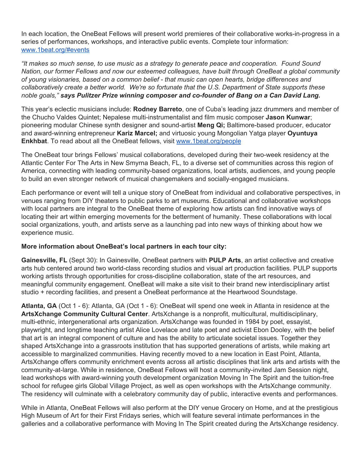In each location, the OneBeat Fellows will present world premieres of their collaborative works-in-progress in a series of performances, workshops, and interactive public events. Complete tour information: [www.1beat.org/#events](https://u7061146.ct.sendgrid.net/wf/click?upn=84Em28S1K9SvtzcUtu04EsO4VBWCp-2BF4SknHCbv8Zd0YQwoHrFUu9LlNUhKyiCAY_DruDjhchMBr5xQkz3h1qcOnjZc-2BCsAVhraQ7DxYhbA2-2BHLQf-2BHKWaWi2FTM7QHo-2Fd7eCMDRMAhfd2mcWSs-2FpzNW9MmuPwV7rH-2FbDd7DdSSb6JJ9qkmk-2FX2hFJh22eIesQ6R7xKC-2By925rW6mxB6lpCs1HDlPUzNbY-2FCnULNG4nyvfmoNFYnqzIo1hgAVroaG-2BFE707eS1P0tgm3lTok5kK-2BC7PLsrndAizu7aOe9HoEz1e5ty-2FrON-2Fg9ivUYOaH7QoMP7uEUYDiBnjWjDUOaVT-2B0-2F7wOPgAnSIA95np-2B94AKtJjomZO3VWzNsTOSpw1YN6IjdeFk88QOeuBF16Vr-2B2m8DCU-2FF2nmPhpZtBl-2B5G8-3D)

*"It makes so much sense, to use music as a strategy to generate peace and cooperation. Found Sound Nation, our former Fellows and now our esteemed colleagues, have built through OneBeat a global community of young visionaries, based on a common belief - that music can open hearts, bridge differences and collaboratively create a better world. We're so fortunate that the U.S. Department of State supports these noble goals," says Pulitzer Prize winning composer and co-founder of Bang on a Can David Lang.*

This year's eclectic musicians include: **Rodney Barreto**, one of Cuba's leading jazz drummers and member of the Chucho Valdes Quintet; Nepalese multi-instrumentalist and film music composer **Jason Kunwar**; pioneering modular Chinese synth designer and sound-artist **Meng Qi;** Baltimore-based producer, educator and award-winning entrepreneur **Kariz Marcel;** and virtuosic young Mongolian Yatga player **Oyuntuya Enkhbat**. To read about all the OneBeat fellows, visit [www.1beat.org/people](https://u7061146.ct.sendgrid.net/wf/click?upn=84Em28S1K9SvtzcUtu04ElRMUmpwQFdb80rRrx-2BqjkVu13zCS4uA1Lh-2BSD05oWVW_DruDjhchMBr5xQkz3h1qcOnjZc-2BCsAVhraQ7DxYhbA2-2BHLQf-2BHKWaWi2FTM7QHo-2Fd7eCMDRMAhfd2mcWSs-2FpzNW9MmuPwV7rH-2FbDd7DdSSb6JJ9qkmk-2FX2hFJh22eIesQ6R7xKC-2By925rW6mxB6lpCs1HDlPUzNbY-2FCnULNG4nyvfmoNFYnqzIo1hgAVroaG-2BFE707eS1P0tgm3lTok5kCqVvD-2Bj2F1HwXNIGRy4Dn7TpjJ5o1HsWf43W-2B0SNXNztINe-2F93o863x-2FZiAwry-2FAEgmnMWxYLwcDLqCfsbahKp-2FKl3-2BwpDqT9Xy-2BlWNMjRkS5nWjI9ILv7Hr8xBEORDHQPG22T8VBq7TWBCtnl4RuQ-3D)

The OneBeat tour brings Fellows' musical collaborations, developed during their two-week residency at the Atlantic Center For The Arts in New Smyrna Beach, FL, to a diverse set of communities across this region of America, connecting with leading community-based organizations, local artists, audiences, and young people to build an even stronger network of musical changemakers and socially-engaged musicians.

Each performance or event will tell a unique story of OneBeat from individual and collaborative perspectives, in venues ranging from DIY theaters to public parks to art museums. Educational and collaborative workshops with local partners are integral to the OneBeat theme of exploring how artists can find innovative ways of locating their art within emerging movements for the betterment of humanity. These collaborations with local social organizations, youth, and artists serve as a launching pad into new ways of thinking about how we experience music.

### **More information about OneBeat's local partners in each tour city:**

**Gainesville, FL** (Sept 30): In Gainesville, OneBeat partners with **PULP Arts**, an artist collective and creative arts hub centered around two world-class recording studios and visual art production facilities. PULP supports working artists through opportunities for cross-discipline collaboration, state of the art resources, and meaningful community engagement. OneBeat will make a site visit to their brand new interdisciplinary artist studio + recording facilities, and present a OneBeat performance at the Heartwood Soundstage.

**Atlanta, GA** (Oct 1 - 6): Atlanta, GA (Oct 1 - 6): OneBeat will spend one week in Atlanta in residence at the **ArtsXchange Community Cultural Center**. ArtsXchange is a nonprofit, multicultural, multidisciplinary, multi-ethnic, intergenerational arts organization. ArtsXchange was founded in 1984 by poet, essayist, playwright, and longtime teaching artist Alice Lovelace and late poet and activist Ebon Dooley, with the belief that art is an integral component of culture and has the ability to articulate societal issues. Together they shaped ArtsXchange into a grassroots institution that has supported generations of artists, while making art accessible to marginalized communities. Having recently moved to a new location in East Point, Atlanta, ArtsXchange offers community enrichment events across all artistic disciplines that link arts and artists with the community-at-large. While in residence, OneBeat Fellows will host a community-invited Jam Session night, lead workshops with award-winning youth development organization Moving In The Spirit and the tuition-free school for refugee girls Global Village Project, as well as open workshops with the ArtsXchange community. The residency will culminate with a celebratory community day of public, interactive events and performances.

While in Atlanta, OneBeat Fellows will also perform at the DIY venue Grocery on Home, and at the prestigious High Museum of Art for their First Fridays series, which will feature several intimate performances in the galleries and a collaborative performance with Moving In The Spirit created during the ArtsXchange residency.